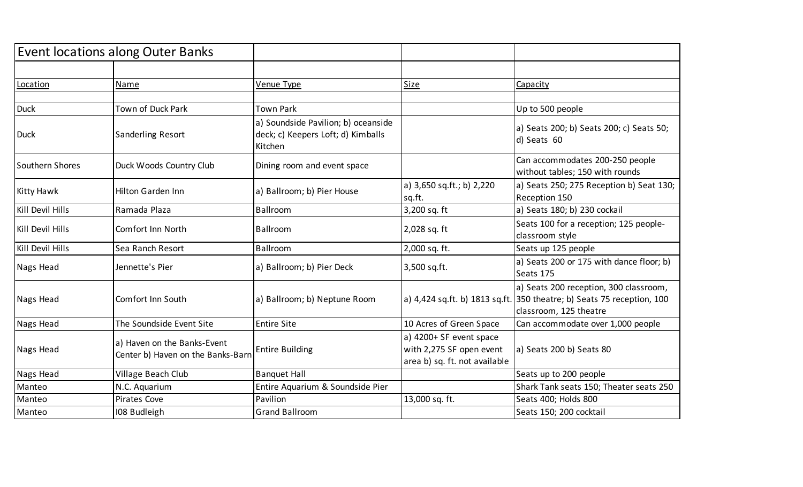|                  | <b>Event locations along Outer Banks</b>                         |                                                                                      |                                                                                      |                                                                                                                                            |
|------------------|------------------------------------------------------------------|--------------------------------------------------------------------------------------|--------------------------------------------------------------------------------------|--------------------------------------------------------------------------------------------------------------------------------------------|
|                  |                                                                  |                                                                                      |                                                                                      |                                                                                                                                            |
| Location         | Name                                                             | Venue Type                                                                           | <b>Size</b>                                                                          | Capacity                                                                                                                                   |
|                  |                                                                  |                                                                                      |                                                                                      |                                                                                                                                            |
| <b>Duck</b>      | Town of Duck Park                                                | <b>Town Park</b>                                                                     |                                                                                      | Up to 500 people                                                                                                                           |
| <b>Duck</b>      | <b>Sanderling Resort</b>                                         | a) Soundside Pavilion; b) oceanside<br>deck; c) Keepers Loft; d) Kimballs<br>Kitchen |                                                                                      | a) Seats 200; b) Seats 200; c) Seats 50;<br>d) Seats 60                                                                                    |
| Southern Shores  | Duck Woods Country Club                                          | Dining room and event space                                                          |                                                                                      | Can accommodates 200-250 people<br>without tables; 150 with rounds                                                                         |
| Kitty Hawk       | <b>Hilton Garden Inn</b>                                         | a) Ballroom; b) Pier House                                                           | a) 3,650 sq.ft.; b) 2,220<br>sq.ft.                                                  | a) Seats 250; 275 Reception b) Seat 130;<br>Reception 150                                                                                  |
| Kill Devil Hills | Ramada Plaza                                                     | Ballroom                                                                             | 3,200 sq. ft                                                                         | a) Seats 180; b) 230 cockail                                                                                                               |
| Kill Devil Hills | Comfort Inn North                                                | Ballroom                                                                             | 2,028 sq. ft                                                                         | Seats 100 for a reception; 125 people-<br>classroom style                                                                                  |
| Kill Devil Hills | Sea Ranch Resort                                                 | Ballroom                                                                             | 2,000 sq. ft.                                                                        | Seats up 125 people                                                                                                                        |
| Nags Head        | Jennette's Pier                                                  | a) Ballroom; b) Pier Deck                                                            | 3,500 sq.ft.                                                                         | a) Seats 200 or 175 with dance floor; b)<br>Seats 175                                                                                      |
| Nags Head        | Comfort Inn South                                                | a) Ballroom; b) Neptune Room                                                         |                                                                                      | a) Seats 200 reception, 300 classroom,<br>a) 4,424 sq.ft. b) 1813 sq.ft. 350 theatre; b) Seats 75 reception, 100<br>classroom, 125 theatre |
| Nags Head        | The Soundside Event Site                                         | <b>Entire Site</b>                                                                   | 10 Acres of Green Space                                                              | Can accommodate over 1,000 people                                                                                                          |
| Nags Head        | a) Haven on the Banks-Event<br>Center b) Haven on the Banks-Barn | <b>Entire Building</b>                                                               | a) 4200+ SF event space<br>with 2,275 SF open event<br>area b) sq. ft. not available | a) Seats 200 b) Seats 80                                                                                                                   |
| Nags Head        | Village Beach Club                                               | <b>Banquet Hall</b>                                                                  |                                                                                      | Seats up to 200 people                                                                                                                     |
| Manteo           | N.C. Aquarium                                                    | Entire Aquarium & Soundside Pier                                                     |                                                                                      | Shark Tank seats 150; Theater seats 250                                                                                                    |
| Manteo           | Pirates Cove                                                     | Pavilion                                                                             | 13,000 sq. ft.                                                                       | Seats 400; Holds 800                                                                                                                       |
| Manteo           | 108 Budleigh                                                     | <b>Grand Ballroom</b>                                                                |                                                                                      | Seats 150; 200 cocktail                                                                                                                    |